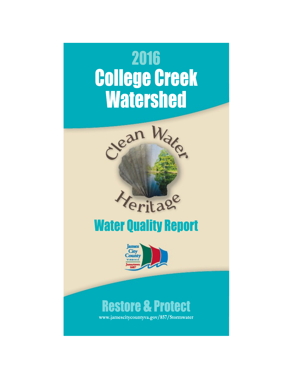



## **Water Quality Report**



# **Restore & Protect**

www.jamescitycountyva.gov/857/Stormwater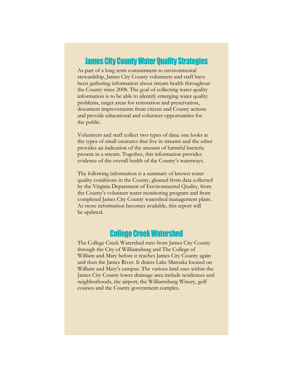#### **James City County Water Quality Strategies**

As part of a long term commitment to environmental stewardship, James City County volunteers and staff have been gathering information about stream health throughout the County since 2008. The goal of collecting water quality information is to be able to identify emerging water quality problems, target areas for restoration and preservation, document improvements from citizen and County actions and provide educational and volunteer opportunities for the public.

Volunteers and staff collect two types of data: one looks at the types of small creatures that live in streams and the other provides an indication of the amount of harmful bacteria present in a stream. Together, this information provides evidence of the overall health of the County's waterways.

The following information is a summary of known water quality conditions in the County, gleaned from data collected by the Virginia Department of Environmental Quality, from the County's volunteer water monitoring program and from completed James City County watershed management plans. As more information becomes available, this report will be updated.

#### **College Creek Watershed**

The College Creek Watershed runs from James City County through the City of Williamsburg and The College of William and Mary before it reaches James City County again and then the James River. It drains Lake Matoaka located on William and Mary's campus. The various land uses within the James City County lower drainage area include residences and neighborhoods, the airport, the Williamsburg Winery, golf courses and the County government complex.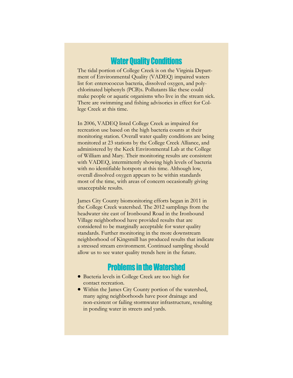#### **Water Quality Conditions**

The tidal portion of College Creek is on the Virginia Department of Environmental Quality (VADEQ) impaired waters list for: enterococcus bacteria, dissolved oxygen, and polychlorinated biphenyls (PCB)s. Pollutants like these could make people or aquatic organisms who live in the stream sick. There are swimming and fishing advisories in effect for College Creek at this time.

In 2006, VADEQ listed College Creek as impaired for recreation use based on the high bacteria counts at their monitoring station. Overall water quality conditions are being monitored at 23 stations by the College Creek Alliance, and administered by the Keck Environmental Lab at the College of William and Mary. Their monitoring results are consistent with VADEQ, intermittently showing high levels of bacteria with no identifiable hotspots at this time. Although low, overall dissolved oxygen appears to be within standards most of the time, with areas of concern occasionally giving unacceptable results.

James City County biomonitoring efforts began in 2011 in the College Creek watershed. The 2012 samplings from the headwater site east of Ironbound Road in the Ironbound Village neighborhood have provided results that are considered to be marginally acceptable for water quality standards. Further monitoring in the more downstream neighborhood of Kingsmill has produced results that indicate a stressed stream environment. Continued sampling should allow us to see water quality trends here in the future.

#### **Problems in the Watershed**

- Bacteria levels in College Creek are too high for contact recreation.
- Within the James City County portion of the watershed, many aging neighborhoods have poor drainage and non-existent or failing stormwater infrastructure, resulting in ponding water in streets and yards.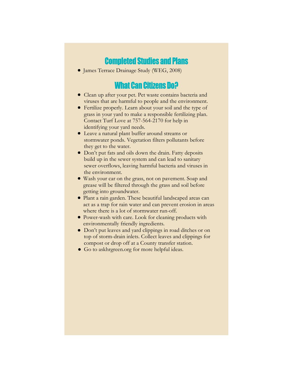#### **Completed Studies and Plans**

James Terrace Drainage Study (WEG, 2008)

#### **What Can Citizens Do?**

- Clean up after your pet. Pet waste contains bacteria and viruses that are harmful to people and the environment.
- Fertilize properly. Learn about your soil and the type of grass in your yard to make a responsible fertilizing plan. Contact Turf Love at 757-564-2170 for help in identifying your yard needs.
- Leave a natural plant buffer around streams or stormwater ponds. Vegetation filters pollutants before they get to the water.
- Don't put fats and oils down the drain. Fatty deposits build up in the sewer system and can lead to sanitary sewer overflows, leaving harmful bacteria and viruses in the environment.
- Wash your car on the grass, not on pavement. Soap and grease will be filtered through the grass and soil before getting into groundwater.
- Plant a rain garden. These beautiful landscaped areas can act as a trap for rain water and can prevent erosion in areas where there is a lot of stormwater run-off.
- Power-wash with care. Look for cleaning products with environmentally friendly ingredients.
- Don't put leaves and yard clippings in road ditches or on top of storm-drain inlets. Collect leaves and clippings for compost or drop off at a County transfer station.
- Go to askhrgreen.org for more helpful ideas.